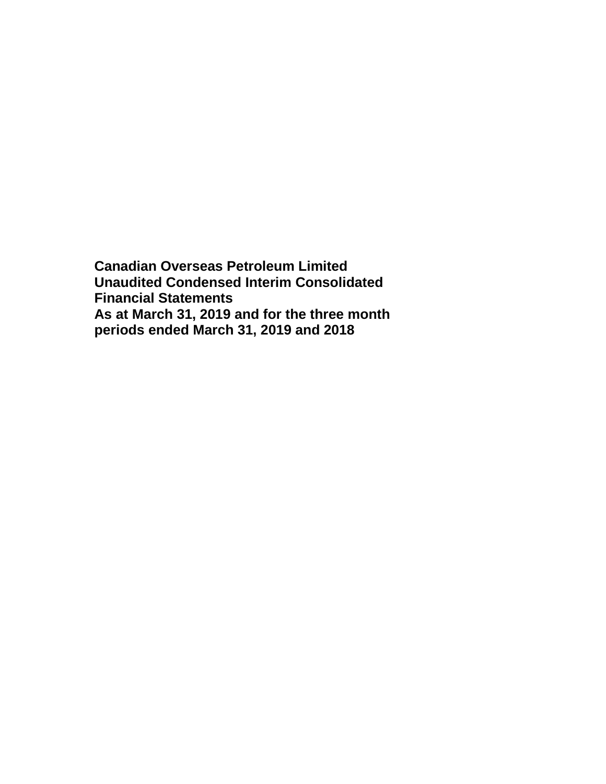**Canadian Overseas Petroleum Limited Unaudited Condensed Interim Consolidated Financial Statements As at March 31, 2019 and for the three month periods ended March 31, 2019 and 2018**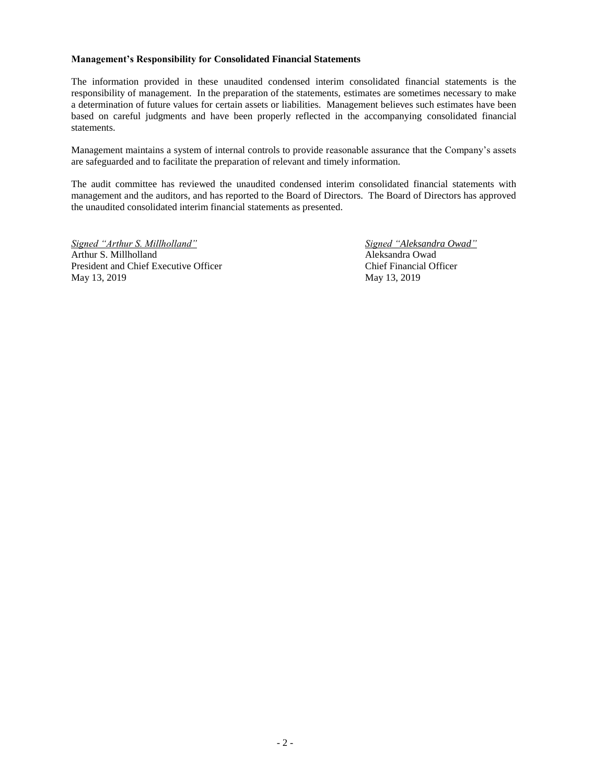#### **Management's Responsibility for Consolidated Financial Statements**

The information provided in these unaudited condensed interim consolidated financial statements is the responsibility of management. In the preparation of the statements, estimates are sometimes necessary to make a determination of future values for certain assets or liabilities. Management believes such estimates have been based on careful judgments and have been properly reflected in the accompanying consolidated financial statements.

Management maintains a system of internal controls to provide reasonable assurance that the Company's assets are safeguarded and to facilitate the preparation of relevant and timely information.

The audit committee has reviewed the unaudited condensed interim consolidated financial statements with management and the auditors, and has reported to the Board of Directors. The Board of Directors has approved the unaudited consolidated interim financial statements as presented.

*Signed "Arthur S. Millholland" Signed "Aleksandra Owad"* Arthur S. Millholland Aleksandra Owad President and Chief Executive Officer Chief Financial Officer May 13, 2019 May 13, 2019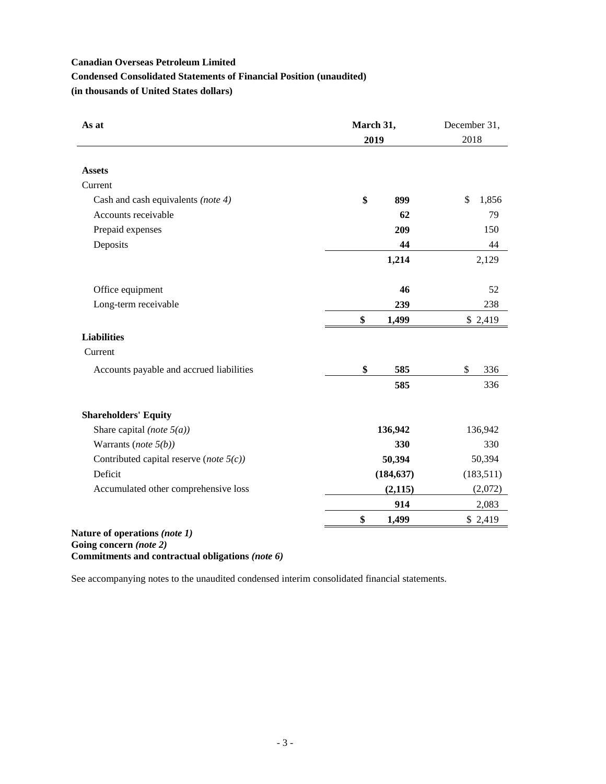# **Condensed Consolidated Statements of Financial Position (unaudited)**

**(in thousands of United States dollars)**

| As at                                                     | March 31,<br>2019 | December 31,<br>2018 |  |  |
|-----------------------------------------------------------|-------------------|----------------------|--|--|
| <b>Assets</b>                                             |                   |                      |  |  |
| Current                                                   |                   |                      |  |  |
|                                                           | \$<br>899         | \$<br>1,856          |  |  |
| Cash and cash equivalents (note 4)<br>Accounts receivable | 62                |                      |  |  |
|                                                           |                   | 79                   |  |  |
| Prepaid expenses                                          | 209               | 150                  |  |  |
| Deposits                                                  | 44                | 44                   |  |  |
|                                                           | 1,214             | 2,129                |  |  |
| Office equipment                                          | 46                | 52                   |  |  |
| Long-term receivable                                      | 239               | 238                  |  |  |
|                                                           | \$<br>1,499       | \$2,419              |  |  |
| <b>Liabilities</b>                                        |                   |                      |  |  |
| Current                                                   |                   |                      |  |  |
| Accounts payable and accrued liabilities                  | \$<br>585         | \$<br>336            |  |  |
|                                                           | 585               | 336                  |  |  |
| <b>Shareholders' Equity</b>                               |                   |                      |  |  |
| Share capital (note $5(a)$ )                              | 136,942           | 136,942              |  |  |
| Warrants (note $5(b)$ )                                   | 330               | 330                  |  |  |
| Contributed capital reserve (note $5(c)$ )                | 50,394            | 50,394               |  |  |
| Deficit                                                   | (184, 637)        | (183,511)            |  |  |
| Accumulated other comprehensive loss                      | (2, 115)          | (2,072)              |  |  |
|                                                           | 914               | 2,083                |  |  |
|                                                           | \$<br>1,499       | \$2,419              |  |  |

**Going concern** *(note 2)*

**Commitments and contractual obligations** *(note 6)*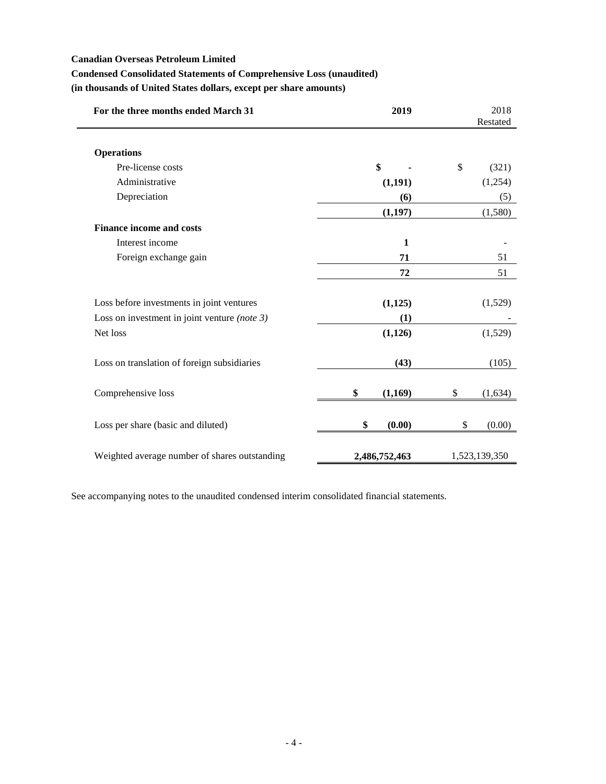$\overline{\phantom{0}}$ 

# **Condensed Consolidated Statements of Comprehensive Loss (unaudited)**

**(in thousands of United States dollars, except per share amounts)**

| For the three months ended March 31             | 2019          | 2018<br>Restated       |
|-------------------------------------------------|---------------|------------------------|
| <b>Operations</b>                               |               |                        |
| Pre-license costs                               | \$            | $\mathcal{S}$<br>(321) |
| Administrative                                  | (1,191)       | (1,254)                |
| Depreciation                                    | (6)           | (5)                    |
|                                                 | (1,197)       | (1,580)                |
| <b>Finance income and costs</b>                 |               |                        |
| Interest income                                 | $\mathbf{1}$  |                        |
| Foreign exchange gain                           | 71            | 51                     |
|                                                 | 72            | 51                     |
| Loss before investments in joint ventures       | (1,125)       | (1,529)                |
| Loss on investment in joint venture (note $3$ ) | (1)           |                        |
| Net loss                                        | (1,126)       | (1,529)                |
| Loss on translation of foreign subsidiaries     | (43)          | (105)                  |
| Comprehensive loss                              | \$<br>(1,169) | \$<br>(1,634)          |
| Loss per share (basic and diluted)              | \$<br>(0.00)  | \$<br>(0.00)           |
| Weighted average number of shares outstanding   | 2,486,752,463 | 1,523,139,350          |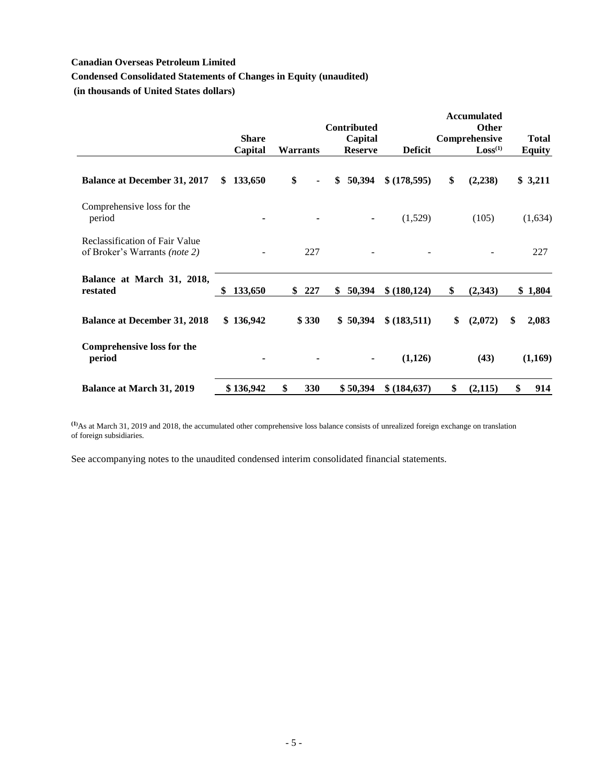# **Condensed Consolidated Statements of Changes in Equity (unaudited)**

**(in thousands of United States dollars)**

|                                                                               |               |           | <b>Contributed</b> |                | <b>Accumulated</b><br><b>Other</b> |               |
|-------------------------------------------------------------------------------|---------------|-----------|--------------------|----------------|------------------------------------|---------------|
|                                                                               | <b>Share</b>  |           | Capital            |                | Comprehensive                      | <b>Total</b>  |
|                                                                               | Capital       | Warrants  | <b>Reserve</b>     | <b>Deficit</b> | Loss <sup>(1)</sup>                | <b>Equity</b> |
| <b>Balance at December 31, 2017</b>                                           | 133,650<br>\$ | \$        | 50,394<br>\$       | \$(178,595)    | \$<br>(2, 238)                     | \$3,211       |
| Comprehensive loss for the<br>period                                          |               |           | $\blacksquare$     | (1,529)        | (105)                              | (1,634)       |
| <b>Reclassification of Fair Value</b><br>of Broker's Warrants <i>(note 2)</i> |               | 227       |                    |                |                                    | 227           |
| Balance at March 31, 2018,<br>restated                                        | 133,650<br>\$ | 227<br>\$ | 50,394<br>\$       | \$ (180, 124)  | \$<br>(2,343)                      | \$1,804       |
| <b>Balance at December 31, 2018</b>                                           | \$136,942     | \$330     | \$50,394           | \$ (183,511)   | \$<br>(2,072)                      | \$<br>2,083   |
| <b>Comprehensive loss for the</b><br>period                                   |               |           | ۰                  | (1,126)        | (43)                               | (1,169)       |
| <b>Balance at March 31, 2019</b>                                              | \$136,942     | \$<br>330 | \$50,394           | \$ (184, 637)  | \$<br>(2, 115)                     | \$<br>914     |

**(1)**As at March 31, 2019 and 2018, the accumulated other comprehensive loss balance consists of unrealized foreign exchange on translation of foreign subsidiaries.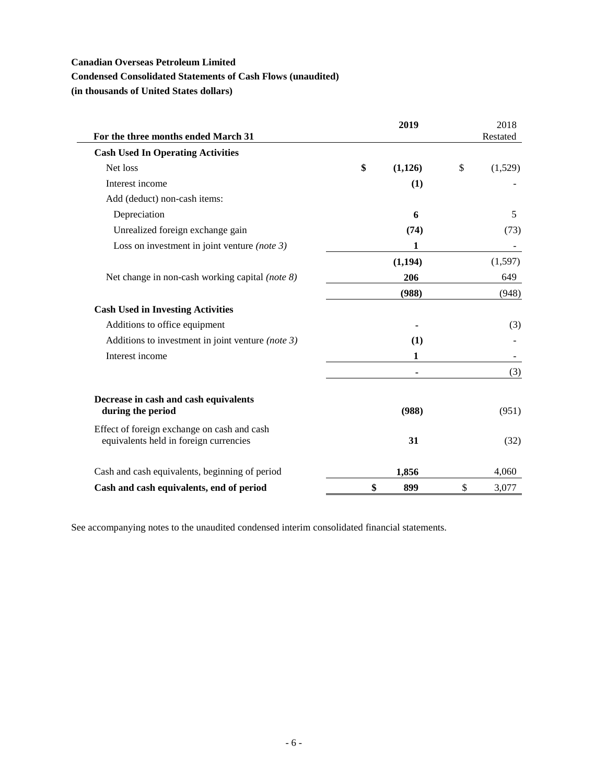### **Condensed Consolidated Statements of Cash Flows (unaudited)**

**(in thousands of United States dollars)**

| For the three months ended March 31                                                   | 2019           | 2018<br>Restated |
|---------------------------------------------------------------------------------------|----------------|------------------|
| <b>Cash Used In Operating Activities</b>                                              |                |                  |
| Net loss                                                                              | \$<br>(1, 126) | \$<br>(1,529)    |
| Interest income                                                                       | (1)            |                  |
| Add (deduct) non-cash items:                                                          |                |                  |
| Depreciation                                                                          | 6              | 5                |
| Unrealized foreign exchange gain                                                      | (74)           | (73)             |
| Loss on investment in joint venture (note $3$ )                                       | 1              |                  |
|                                                                                       | (1, 194)       | (1,597)          |
| Net change in non-cash working capital (note 8)                                       | 206            | 649              |
|                                                                                       | (988)          | (948)            |
| <b>Cash Used in Investing Activities</b>                                              |                |                  |
| Additions to office equipment                                                         |                | (3)              |
| Additions to investment in joint venture (note $3$ )                                  | (1)            |                  |
| Interest income                                                                       | 1              |                  |
|                                                                                       |                | (3)              |
| Decrease in cash and cash equivalents                                                 |                |                  |
| during the period                                                                     | (988)          | (951)            |
| Effect of foreign exchange on cash and cash<br>equivalents held in foreign currencies | 31             | (32)             |
| Cash and cash equivalents, beginning of period                                        | 1,856          | 4,060            |
| Cash and cash equivalents, end of period                                              | \$<br>899      | \$<br>3,077      |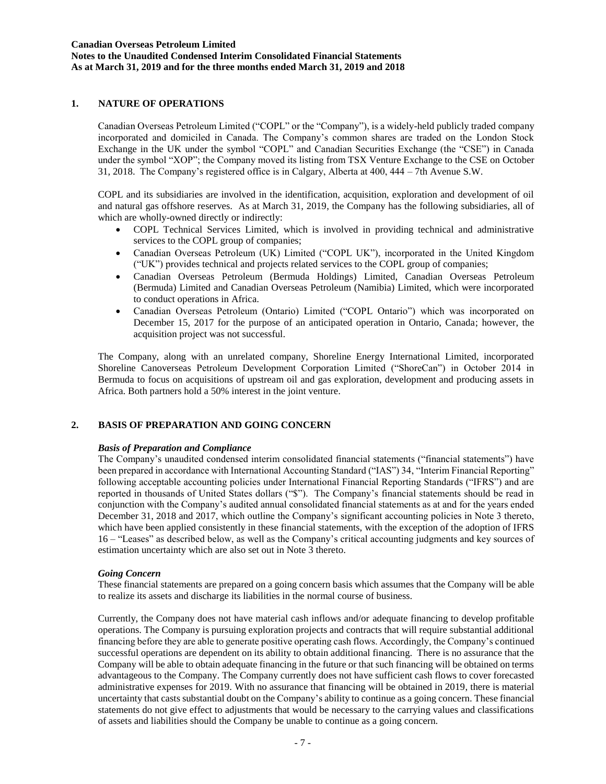## **1. NATURE OF OPERATIONS**

Canadian Overseas Petroleum Limited ("COPL" or the "Company"), is a widely-held publicly traded company incorporated and domiciled in Canada. The Company's common shares are traded on the London Stock Exchange in the UK under the symbol "COPL" and Canadian Securities Exchange (the "CSE") in Canada under the symbol "XOP"; the Company moved its listing from TSX Venture Exchange to the CSE on October 31, 2018. The Company's registered office is in Calgary, Alberta at 400, 444 – 7th Avenue S.W.

COPL and its subsidiaries are involved in the identification, acquisition, exploration and development of oil and natural gas offshore reserves. As at March 31, 2019, the Company has the following subsidiaries, all of which are wholly-owned directly or indirectly:

- COPL Technical Services Limited, which is involved in providing technical and administrative services to the COPL group of companies;
- Canadian Overseas Petroleum (UK) Limited ("COPL UK"), incorporated in the United Kingdom ("UK") provides technical and projects related services to the COPL group of companies;
- Canadian Overseas Petroleum (Bermuda Holdings) Limited, Canadian Overseas Petroleum (Bermuda) Limited and Canadian Overseas Petroleum (Namibia) Limited, which were incorporated to conduct operations in Africa.
- Canadian Overseas Petroleum (Ontario) Limited ("COPL Ontario") which was incorporated on December 15, 2017 for the purpose of an anticipated operation in Ontario, Canada; however, the acquisition project was not successful.

The Company, along with an unrelated company, Shoreline Energy International Limited, incorporated Shoreline Canoverseas Petroleum Development Corporation Limited ("ShoreCan") in October 2014 in Bermuda to focus on acquisitions of upstream oil and gas exploration, development and producing assets in Africa. Both partners hold a 50% interest in the joint venture.

### **2. BASIS OF PREPARATION AND GOING CONCERN**

#### *Basis of Preparation and Compliance*

The Company's unaudited condensed interim consolidated financial statements ("financial statements") have been prepared in accordance with International Accounting Standard ("IAS") 34, "Interim Financial Reporting" following acceptable accounting policies under International Financial Reporting Standards ("IFRS") and are reported in thousands of United States dollars ("\$"). The Company's financial statements should be read in conjunction with the Company's audited annual consolidated financial statements as at and for the years ended December 31, 2018 and 2017, which outline the Company's significant accounting policies in Note 3 thereto, which have been applied consistently in these financial statements, with the exception of the adoption of IFRS 16 – "Leases" as described below, as well as the Company's critical accounting judgments and key sources of estimation uncertainty which are also set out in Note 3 thereto.

#### *Going Concern*

These financial statements are prepared on a going concern basis which assumes that the Company will be able to realize its assets and discharge its liabilities in the normal course of business.

Currently, the Company does not have material cash inflows and/or adequate financing to develop profitable operations. The Company is pursuing exploration projects and contracts that will require substantial additional financing before they are able to generate positive operating cash flows. Accordingly, the Company's continued successful operations are dependent on its ability to obtain additional financing. There is no assurance that the Company will be able to obtain adequate financing in the future or that such financing will be obtained on terms advantageous to the Company. The Company currently does not have sufficient cash flows to cover forecasted administrative expenses for 2019. With no assurance that financing will be obtained in 2019, there is material uncertainty that casts substantial doubt on the Company's ability to continue as a going concern. These financial statements do not give effect to adjustments that would be necessary to the carrying values and classifications of assets and liabilities should the Company be unable to continue as a going concern.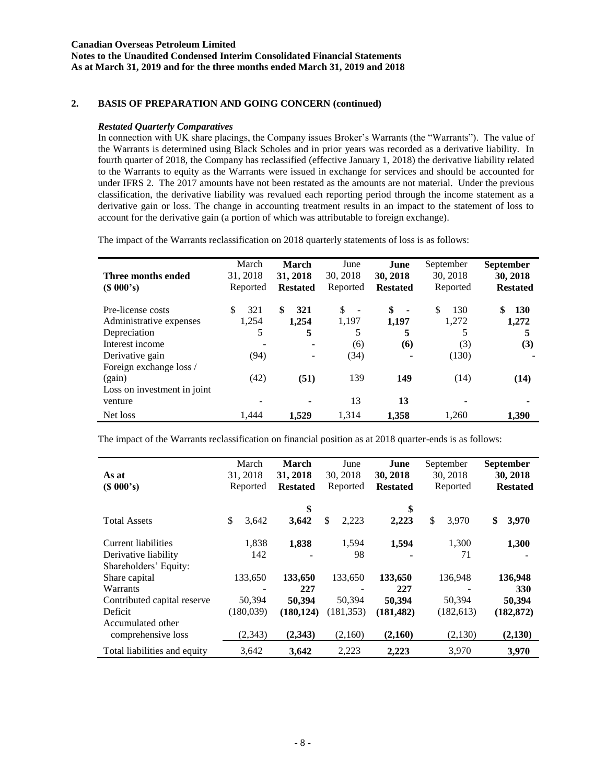**Notes to the Unaudited Condensed Interim Consolidated Financial Statements As at March 31, 2019 and for the three months ended March 31, 2019 and 2018**

# **2. BASIS OF PREPARATION AND GOING CONCERN (continued)**

#### *Restated Quarterly Comparatives*

In connection with UK share placings, the Company issues Broker's Warrants (the "Warrants"). The value of the Warrants is determined using Black Scholes and in prior years was recorded as a derivative liability. In fourth quarter of 2018, the Company has reclassified (effective January 1, 2018) the derivative liability related to the Warrants to equity as the Warrants were issued in exchange for services and should be accounted for under IFRS 2. The 2017 amounts have not been restated as the amounts are not material. Under the previous classification, the derivative liability was revalued each reporting period through the income statement as a derivative gain or loss. The change in accounting treatment results in an impact to the statement of loss to account for the derivative gain (a portion of which was attributable to foreign exchange).

The impact of the Warrants reclassification on 2018 quarterly statements of loss is as follows:

| Three months ended<br>(S 000's) | March<br>31, 2018<br>Reported | <b>March</b><br>31, 2018<br><b>Restated</b> | June<br>30, 2018<br>Reported   | June<br>30, 2018<br><b>Restated</b> | September<br>30, 2018<br>Reported | <b>September</b><br>30, 2018<br><b>Restated</b> |
|---------------------------------|-------------------------------|---------------------------------------------|--------------------------------|-------------------------------------|-----------------------------------|-------------------------------------------------|
| Pre-license costs               | 321<br>\$                     | \$.<br>321                                  | \$<br>$\overline{\phantom{a}}$ | \$<br>$\blacksquare$                | \$.<br>130                        | \$<br><b>130</b>                                |
| Administrative expenses         | 1,254                         | 1.254                                       | 1,197                          | 1.197                               | 1,272                             | 1,272                                           |
| Depreciation                    | 5                             | 5                                           | 5                              | 5                                   | 5                                 |                                                 |
| Interest income                 |                               | ٠                                           | (6)                            | (6)                                 | (3)                               | (3)                                             |
| Derivative gain                 | (94)                          | ٠                                           | (34)                           |                                     | (130)                             |                                                 |
| Foreign exchange loss /         |                               |                                             |                                |                                     |                                   |                                                 |
| (gain)                          | (42)                          | (51)                                        | 139                            | 149                                 | (14)                              | (14)                                            |
| Loss on investment in joint     |                               |                                             |                                |                                     |                                   |                                                 |
| venture                         |                               |                                             | 13                             | 13                                  |                                   |                                                 |
| Net loss                        | 1.444                         | 1.529                                       | 1.314                          | 1.358                               | 1.260                             | 1.390                                           |

The impact of the Warrants reclassification on financial position as at 2018 quarter-ends is as follows:

| As at<br>(S 000's)           | March<br>31, 2018<br>Reported | 31, 2018 | <b>March</b><br><b>Restated</b> | June<br>30, 2018<br>Reported | June<br>30, 2018<br><b>Restated</b> | September<br>30, 2018<br>Reported | <b>September</b><br>30, 2018<br><b>Restated</b> |
|------------------------------|-------------------------------|----------|---------------------------------|------------------------------|-------------------------------------|-----------------------------------|-------------------------------------------------|
| <b>Total Assets</b>          | \$<br>3,642                   |          | \$<br>3,642                     | \$<br>2,223                  | \$<br>2,223                         | \$<br>3,970                       | \$<br>3,970                                     |
| Current liabilities          | 1,838                         |          | 1,838                           | 1,594                        | 1,594                               | 1,300                             | 1,300                                           |
| Derivative liability         | 142                           |          |                                 | 98                           |                                     | 71                                |                                                 |
| Shareholders' Equity:        |                               |          |                                 |                              |                                     |                                   |                                                 |
| Share capital                | 133,650                       |          | 133,650                         | 133,650                      | 133,650                             | 136,948                           | 136,948                                         |
| Warrants                     |                               |          | 227                             |                              | 227                                 |                                   | 330                                             |
| Contributed capital reserve  | 50,394                        |          | 50,394                          | 50,394                       | 50,394                              | 50,394                            | 50,394                                          |
| Deficit                      | (180,039)                     |          | (180, 124)                      | (181, 353)                   | (181, 482)                          | (182, 613)                        | (182, 872)                                      |
| Accumulated other            |                               |          |                                 |                              |                                     |                                   |                                                 |
| comprehensive loss           | (2, 343)                      |          | (2,343)                         | (2,160)                      | (2,160)                             | (2,130)                           | (2,130)                                         |
| Total liabilities and equity | 3,642                         |          | 3.642                           | 2,223                        | 2,223                               | 3,970                             | 3,970                                           |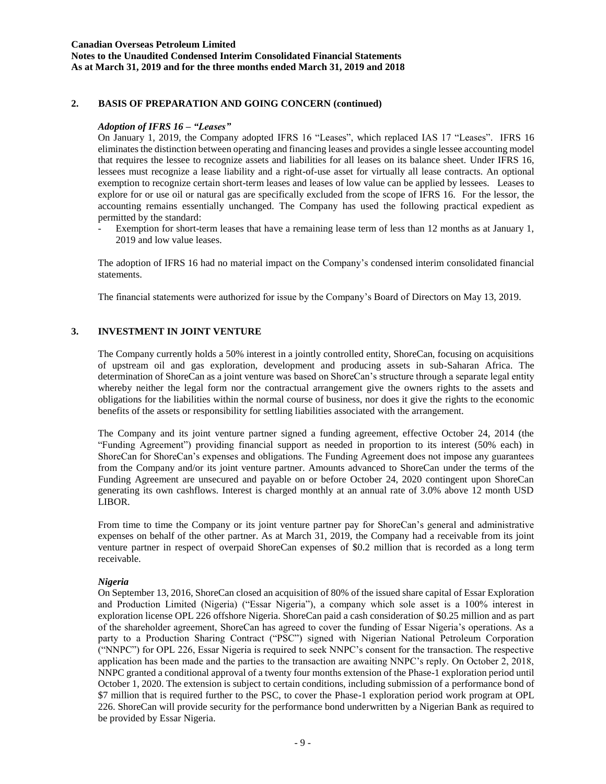### **Canadian Overseas Petroleum Limited Notes to the Unaudited Condensed Interim Consolidated Financial Statements As at March 31, 2019 and for the three months ended March 31, 2019 and 2018**

# **2. BASIS OF PREPARATION AND GOING CONCERN (continued)**

### *Adoption of IFRS 16 – "Leases"*

On January 1, 2019, the Company adopted IFRS 16 "Leases", which replaced IAS 17 "Leases". IFRS 16 eliminates the distinction between operating and financing leases and provides a single lessee accounting model that requires the lessee to recognize assets and liabilities for all leases on its balance sheet. Under IFRS 16, lessees must recognize a lease liability and a right-of-use asset for virtually all lease contracts. An optional exemption to recognize certain short-term leases and leases of low value can be applied by lessees. Leases to explore for or use oil or natural gas are specifically excluded from the scope of IFRS 16. For the lessor, the accounting remains essentially unchanged. The Company has used the following practical expedient as permitted by the standard:

Exemption for short-term leases that have a remaining lease term of less than 12 months as at January 1, 2019 and low value leases.

The adoption of IFRS 16 had no material impact on the Company's condensed interim consolidated financial statements.

The financial statements were authorized for issue by the Company's Board of Directors on May 13, 2019.

### **3. INVESTMENT IN JOINT VENTURE**

The Company currently holds a 50% interest in a jointly controlled entity, ShoreCan, focusing on acquisitions of upstream oil and gas exploration, development and producing assets in sub-Saharan Africa. The determination of ShoreCan as a joint venture was based on ShoreCan's structure through a separate legal entity whereby neither the legal form nor the contractual arrangement give the owners rights to the assets and obligations for the liabilities within the normal course of business, nor does it give the rights to the economic benefits of the assets or responsibility for settling liabilities associated with the arrangement.

The Company and its joint venture partner signed a funding agreement, effective October 24, 2014 (the "Funding Agreement") providing financial support as needed in proportion to its interest (50% each) in ShoreCan for ShoreCan's expenses and obligations. The Funding Agreement does not impose any guarantees from the Company and/or its joint venture partner. Amounts advanced to ShoreCan under the terms of the Funding Agreement are unsecured and payable on or before October 24, 2020 contingent upon ShoreCan generating its own cashflows. Interest is charged monthly at an annual rate of 3.0% above 12 month USD LIBOR.

From time to time the Company or its joint venture partner pay for ShoreCan's general and administrative expenses on behalf of the other partner. As at March 31, 2019, the Company had a receivable from its joint venture partner in respect of overpaid ShoreCan expenses of \$0.2 million that is recorded as a long term receivable.

#### *Nigeria*

On September 13, 2016, ShoreCan closed an acquisition of 80% of the issued share capital of Essar Exploration and Production Limited (Nigeria) ("Essar Nigeria"), a company which sole asset is a 100% interest in exploration license OPL 226 offshore Nigeria. ShoreCan paid a cash consideration of \$0.25 million and as part of the shareholder agreement, ShoreCan has agreed to cover the funding of Essar Nigeria's operations. As a party to a Production Sharing Contract ("PSC") signed with Nigerian National Petroleum Corporation ("NNPC") for OPL 226, Essar Nigeria is required to seek NNPC's consent for the transaction. The respective application has been made and the parties to the transaction are awaiting NNPC's reply. On October 2, 2018, NNPC granted a conditional approval of a twenty four months extension of the Phase-1 exploration period until October 1, 2020. The extension is subject to certain conditions, including submission of a performance bond of \$7 million that is required further to the PSC, to cover the Phase-1 exploration period work program at OPL 226. ShoreCan will provide security for the performance bond underwritten by a Nigerian Bank as required to be provided by Essar Nigeria.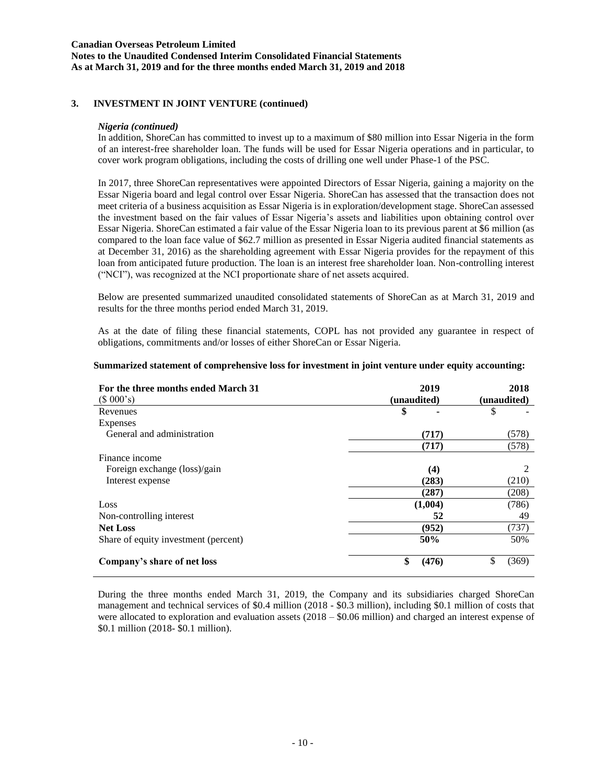### **Canadian Overseas Petroleum Limited Notes to the Unaudited Condensed Interim Consolidated Financial Statements As at March 31, 2019 and for the three months ended March 31, 2019 and 2018**

### **3. INVESTMENT IN JOINT VENTURE (continued)**

#### *Nigeria (continued)*

In addition, ShoreCan has committed to invest up to a maximum of \$80 million into Essar Nigeria in the form of an interest-free shareholder loan. The funds will be used for Essar Nigeria operations and in particular, to cover work program obligations, including the costs of drilling one well under Phase-1 of the PSC.

In 2017, three ShoreCan representatives were appointed Directors of Essar Nigeria, gaining a majority on the Essar Nigeria board and legal control over Essar Nigeria. ShoreCan has assessed that the transaction does not meet criteria of a business acquisition as Essar Nigeria is in exploration/development stage. ShoreCan assessed the investment based on the fair values of Essar Nigeria's assets and liabilities upon obtaining control over Essar Nigeria. ShoreCan estimated a fair value of the Essar Nigeria loan to its previous parent at \$6 million (as compared to the loan face value of \$62.7 million as presented in Essar Nigeria audited financial statements as at December 31, 2016) as the shareholding agreement with Essar Nigeria provides for the repayment of this loan from anticipated future production. The loan is an interest free shareholder loan. Non-controlling interest ("NCI"), was recognized at the NCI proportionate share of net assets acquired.

Below are presented summarized unaudited consolidated statements of ShoreCan as at March 31, 2019 and results for the three months period ended March 31, 2019.

As at the date of filing these financial statements, COPL has not provided any guarantee in respect of obligations, commitments and/or losses of either ShoreCan or Essar Nigeria.

| For the three months ended March 31  | 2019        | 2018        |  |  |
|--------------------------------------|-------------|-------------|--|--|
| (\$000's)                            | (unaudited) | (unaudited) |  |  |
| Revenues                             | \$          | \$          |  |  |
| <b>Expenses</b>                      |             |             |  |  |
| General and administration           | (717)       | (578)       |  |  |
|                                      | (717)       | (578)       |  |  |
| Finance income                       |             |             |  |  |
| Foreign exchange (loss)/gain         | (4)         | 2           |  |  |
| Interest expense                     | (283)       | (210)       |  |  |
|                                      | (287)       | (208)       |  |  |
| Loss                                 | (1,004)     | (786)       |  |  |
| Non-controlling interest             | 52          | 49          |  |  |
| <b>Net Loss</b>                      | (952)       | (737)       |  |  |
| Share of equity investment (percent) | 50%         | 50%         |  |  |
| Company's share of net loss          | \$<br>(476) | \$<br>(369) |  |  |

#### **Summarized statement of comprehensive loss for investment in joint venture under equity accounting:**

During the three months ended March 31, 2019, the Company and its subsidiaries charged ShoreCan management and technical services of \$0.4 million (2018 - \$0.3 million), including \$0.1 million of costs that were allocated to exploration and evaluation assets (2018 – \$0.06 million) and charged an interest expense of \$0.1 million (2018- \$0.1 million).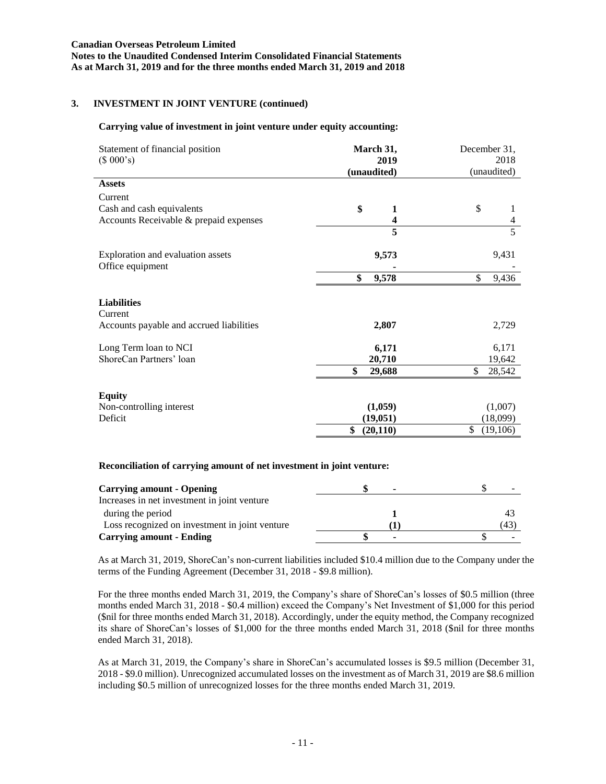**Notes to the Unaudited Condensed Interim Consolidated Financial Statements As at March 31, 2019 and for the three months ended March 31, 2019 and 2018**

# **3. INVESTMENT IN JOINT VENTURE (continued)**

#### **Carrying value of investment in joint venture under equity accounting:**

| Statement of financial position<br>(\$000's) | March 31,<br>2019<br>(unaudited) | December 31,<br>2018<br>(unaudited) |
|----------------------------------------------|----------------------------------|-------------------------------------|
| <b>Assets</b>                                |                                  |                                     |
| Current                                      |                                  |                                     |
| Cash and cash equivalents                    | \$<br>$\mathbf{1}$               | \$                                  |
| Accounts Receivable & prepaid expenses       | $\overline{\mathbf{4}}$          | $\overline{\mathbf{4}}$             |
|                                              | 5                                | $\overline{5}$                      |
| Exploration and evaluation assets            | 9,573                            | 9,431                               |
| Office equipment                             |                                  |                                     |
|                                              | \$<br>9,578                      | \$<br>9,436                         |
| <b>Liabilities</b><br>Current                |                                  |                                     |
| Accounts payable and accrued liabilities     | 2,807                            | 2,729                               |
| Long Term loan to NCI                        | 6,171                            | 6,171                               |
| ShoreCan Partners' loan                      | 20,710                           | 19,642                              |
|                                              | \$<br>29,688                     | \$<br>28,542                        |
| <b>Equity</b>                                |                                  |                                     |
| Non-controlling interest                     | (1,059)                          | (1,007)                             |
| Deficit                                      | (19, 051)                        | (18,099)                            |
|                                              | \$<br>(20, 110)                  | \$<br>(19,106)                      |

### **Reconciliation of carrying amount of net investment in joint venture:**

| <b>Carrying amount - Opening</b>               | ۰ |     |
|------------------------------------------------|---|-----|
| Increases in net investment in joint venture   |   |     |
| during the period                              |   |     |
| Loss recognized on investment in joint venture |   | (43 |
| <b>Carrying amount - Ending</b>                |   |     |

As at March 31, 2019, ShoreCan's non-current liabilities included \$10.4 million due to the Company under the terms of the Funding Agreement (December 31, 2018 - \$9.8 million).

For the three months ended March 31, 2019, the Company's share of ShoreCan's losses of \$0.5 million (three months ended March 31, 2018 - \$0.4 million) exceed the Company's Net Investment of \$1,000 for this period (\$nil for three months ended March 31, 2018). Accordingly, under the equity method, the Company recognized its share of ShoreCan's losses of \$1,000 for the three months ended March 31, 2018 (\$nil for three months ended March 31, 2018).

As at March 31, 2019, the Company's share in ShoreCan's accumulated losses is \$9.5 million (December 31, 2018 - \$9.0 million). Unrecognized accumulated losses on the investment as of March 31, 2019 are \$8.6 million including \$0.5 million of unrecognized losses for the three months ended March 31, 2019.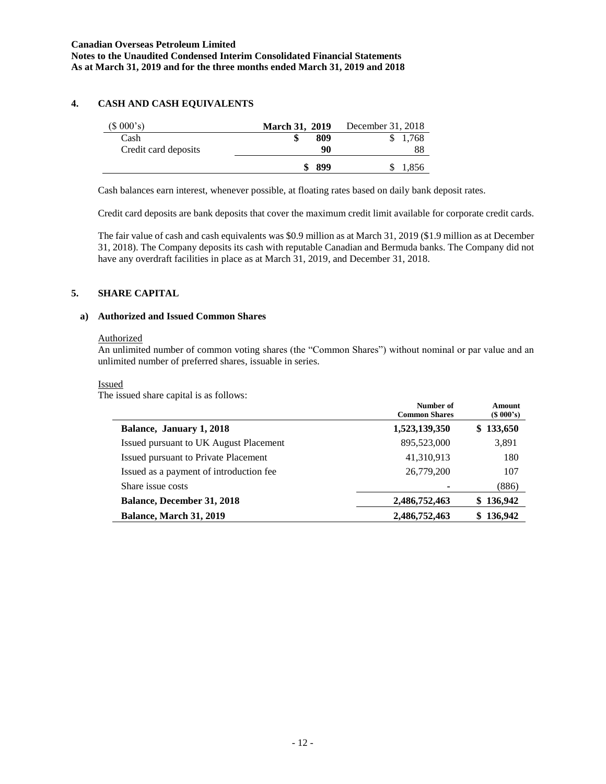# **4. CASH AND CASH EQUIVALENTS**

| (\$000's)            | <b>March 31, 2019</b> | December 31, 2018 |
|----------------------|-----------------------|-------------------|
| Cash                 | 809                   | 1,768             |
| Credit card deposits | 90                    | 88                |
|                      | 899                   | 1,856             |

Cash balances earn interest, whenever possible, at floating rates based on daily bank deposit rates.

Credit card deposits are bank deposits that cover the maximum credit limit available for corporate credit cards.

The fair value of cash and cash equivalents was \$0.9 million as at March 31, 2019 (\$1.9 million as at December 31, 2018). The Company deposits its cash with reputable Canadian and Bermuda banks. The Company did not have any overdraft facilities in place as at March 31, 2019, and December 31, 2018.

### **5. SHARE CAPITAL**

### **a) Authorized and Issued Common Shares**

#### Authorized

An unlimited number of common voting shares (the "Common Shares") without nominal or par value and an unlimited number of preferred shares, issuable in series.

#### Issued

The issued share capital is as follows:

| $\sim$ 1000 000 011001 0 0000 10001 1000 10001 0000 1000 | Number of<br><b>Common Shares</b> | Amount<br>$(S\ 000's)$ |
|----------------------------------------------------------|-----------------------------------|------------------------|
| Balance, January 1, 2018                                 | 1,523,139,350                     | \$133,650              |
| Issued pursuant to UK August Placement                   | 895,523,000                       | 3,891                  |
| Issued pursuant to Private Placement                     | 41,310,913                        | 180                    |
| Issued as a payment of introduction fee                  | 26,779,200                        | 107                    |
| Share issue costs                                        |                                   | (886)                  |
| <b>Balance, December 31, 2018</b>                        | 2,486,752,463                     | \$136,942              |
| Balance, March 31, 2019                                  | 2,486,752,463                     | \$136,942              |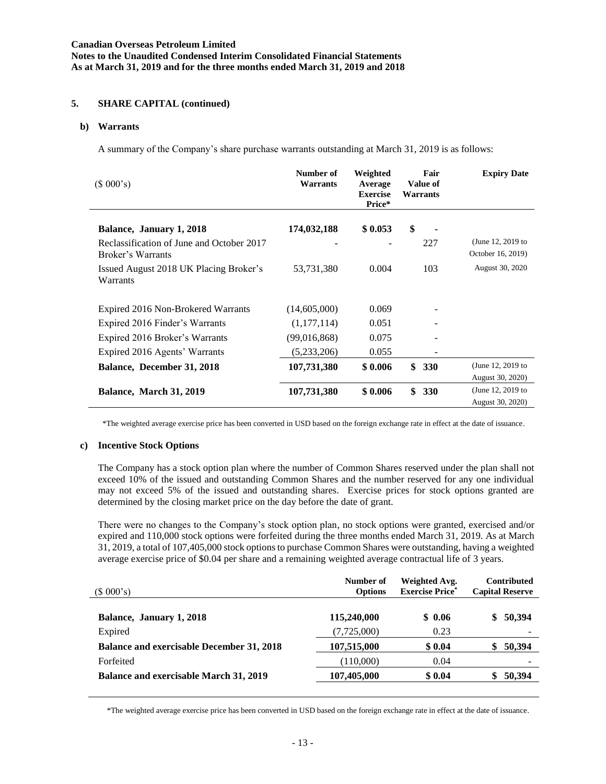# **5. SHARE CAPITAL (continued)**

#### **b) Warrants**

A summary of the Company's share purchase warrants outstanding at March 31, 2019 is as follows:

| $(S\ 000's)$                                                   | Number of<br>Warrants | Weighted<br>Average<br><b>Exercise</b><br>Price* | Fair<br><b>Value of</b><br><b>Warrants</b> | <b>Expiry Date</b>                     |
|----------------------------------------------------------------|-----------------------|--------------------------------------------------|--------------------------------------------|----------------------------------------|
| Balance, January 1, 2018                                       | 174,032,188           | \$0.053                                          | \$                                         |                                        |
| Reclassification of June and October 2017<br>Broker's Warrants |                       |                                                  | 227                                        | (June 12, 2019 to<br>October 16, 2019) |
| Issued August 2018 UK Placing Broker's<br>Warrants             | 53,731,380            | 0.004                                            | 103                                        | August 30, 2020                        |
| Expired 2016 Non-Brokered Warrants                             | (14,605,000)          | 0.069                                            |                                            |                                        |
| Expired 2016 Finder's Warrants                                 | (1,177,114)           | 0.051                                            |                                            |                                        |
| Expired 2016 Broker's Warrants                                 | (99,016,868)          | 0.075                                            |                                            |                                        |
| Expired 2016 Agents' Warrants                                  | (5,233,206)           | 0.055                                            |                                            |                                        |
| Balance, December 31, 2018                                     | 107,731,380           | \$0.006                                          | \$<br><b>330</b>                           | (June 12, 2019 to                      |
|                                                                |                       |                                                  |                                            | August 30, 2020)                       |
| Balance, March 31, 2019                                        | 107,731,380           | \$0.006                                          | \$<br><b>330</b>                           | (June 12, 2019 to                      |
|                                                                |                       |                                                  |                                            | August 30, 2020)                       |

\*The weighted average exercise price has been converted in USD based on the foreign exchange rate in effect at the date of issuance.

#### **c) Incentive Stock Options**

The Company has a stock option plan where the number of Common Shares reserved under the plan shall not exceed 10% of the issued and outstanding Common Shares and the number reserved for any one individual may not exceed 5% of the issued and outstanding shares. Exercise prices for stock options granted are determined by the closing market price on the day before the date of grant.

There were no changes to the Company's stock option plan, no stock options were granted, exercised and/or expired and 110,000 stock options were forfeited during the three months ended March 31, 2019. As at March 31, 2019, a total of 107,405,000 stock options to purchase Common Shares were outstanding, having a weighted average exercise price of \$0.04 per share and a remaining weighted average contractual life of 3 years.

| (\$000's)                                        | Number of<br><b>Options</b> | Weighted Avg.<br><b>Exercise Price*</b> | <b>Contributed</b><br><b>Capital Reserve</b> |
|--------------------------------------------------|-----------------------------|-----------------------------------------|----------------------------------------------|
| Balance, January 1, 2018                         | 115,240,000                 | \$0.06                                  | \$50,394                                     |
| Expired                                          | (7,725,000)                 | 0.23                                    |                                              |
| <b>Balance and exercisable December 31, 2018</b> | 107,515,000                 | \$0.04                                  | 50,394<br>S                                  |
| Forfeited                                        | (110,000)                   | 0.04                                    |                                              |
| <b>Balance and exercisable March 31, 2019</b>    | 107,405,000                 | \$0.04                                  | 50,394                                       |

\*The weighted average exercise price has been converted in USD based on the foreign exchange rate in effect at the date of issuance.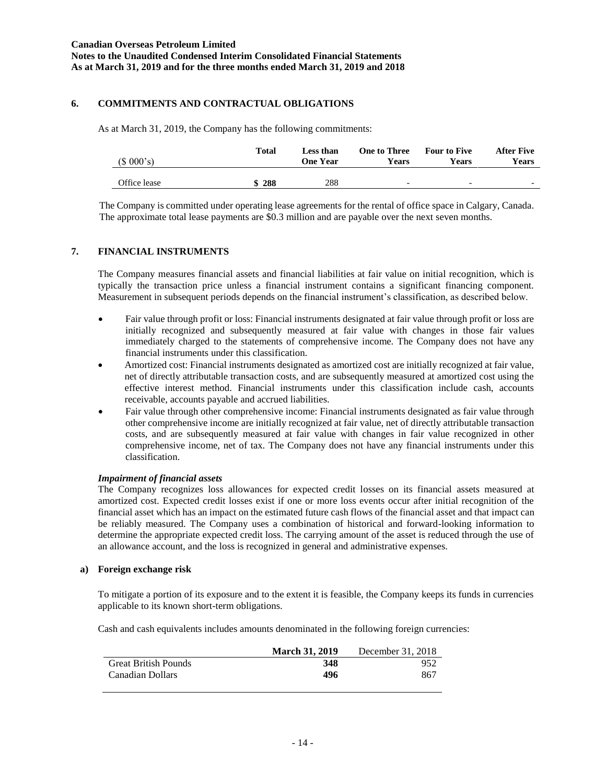# **6. COMMITMENTS AND CONTRACTUAL OBLIGATIONS**

As at March 31, 2019, the Company has the following commitments:

| (\$000's)    | Total | Less than<br><b>One Year</b> | <b>One to Three</b><br>Years | <b>Four to Five</b><br>Years | After Five<br>Years |
|--------------|-------|------------------------------|------------------------------|------------------------------|---------------------|
| Office lease | 288   | 288                          | $\overline{\phantom{0}}$     | $\overline{\phantom{0}}$     |                     |

The Company is committed under operating lease agreements for the rental of office space in Calgary, Canada. The approximate total lease payments are \$0.3 million and are payable over the next seven months.

### **7. FINANCIAL INSTRUMENTS**

The Company measures financial assets and financial liabilities at fair value on initial recognition, which is typically the transaction price unless a financial instrument contains a significant financing component. Measurement in subsequent periods depends on the financial instrument's classification, as described below.

- Fair value through profit or loss: Financial instruments designated at fair value through profit or loss are initially recognized and subsequently measured at fair value with changes in those fair values immediately charged to the statements of comprehensive income. The Company does not have any financial instruments under this classification.
- Amortized cost: Financial instruments designated as amortized cost are initially recognized at fair value, net of directly attributable transaction costs, and are subsequently measured at amortized cost using the effective interest method. Financial instruments under this classification include cash, accounts receivable, accounts payable and accrued liabilities.
- Fair value through other comprehensive income: Financial instruments designated as fair value through other comprehensive income are initially recognized at fair value, net of directly attributable transaction costs, and are subsequently measured at fair value with changes in fair value recognized in other comprehensive income, net of tax. The Company does not have any financial instruments under this classification.

### *Impairment of financial assets*

The Company recognizes loss allowances for expected credit losses on its financial assets measured at amortized cost. Expected credit losses exist if one or more loss events occur after initial recognition of the financial asset which has an impact on the estimated future cash flows of the financial asset and that impact can be reliably measured. The Company uses a combination of historical and forward-looking information to determine the appropriate expected credit loss. The carrying amount of the asset is reduced through the use of an allowance account, and the loss is recognized in general and administrative expenses.

### **a) Foreign exchange risk**

To mitigate a portion of its exposure and to the extent it is feasible, the Company keeps its funds in currencies applicable to its known short-term obligations.

Cash and cash equivalents includes amounts denominated in the following foreign currencies:

|                             | <b>March 31, 2019</b> | December 31, 2018 |
|-----------------------------|-----------------------|-------------------|
| <b>Great British Pounds</b> | 348                   | 952               |
| Canadian Dollars            | 496                   | 867               |
|                             |                       |                   |